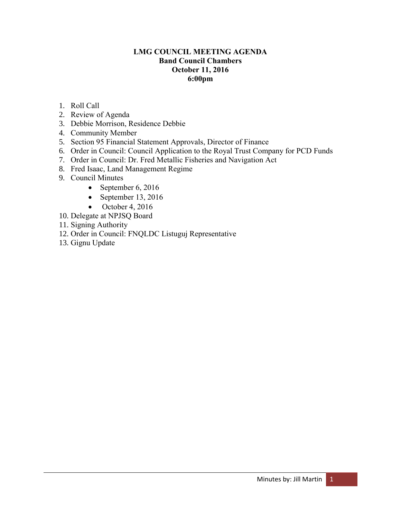## **LMG COUNCIL MEETING AGENDA Band Council Chambers October 11, 2016 6:00pm**

- 1. Roll Call
- 2. Review of Agenda
- 3. Debbie Morrison, Residence Debbie
- 4. Community Member
- 5. Section 95 Financial Statement Approvals, Director of Finance
- 6. Order in Council: Council Application to the Royal Trust Company for PCD Funds
- 7. Order in Council: Dr. Fred Metallic Fisheries and Navigation Act
- 8. Fred Isaac, Land Management Regime
- 9. Council Minutes
	- September 6, 2016
	- September 13, 2016
	- $\bullet$  October 4, 2016
- 10. Delegate at NPJSQ Board
- 11. Signing Authority
- 12. Order in Council: FNQLDC Listuguj Representative
- 13. Gignu Update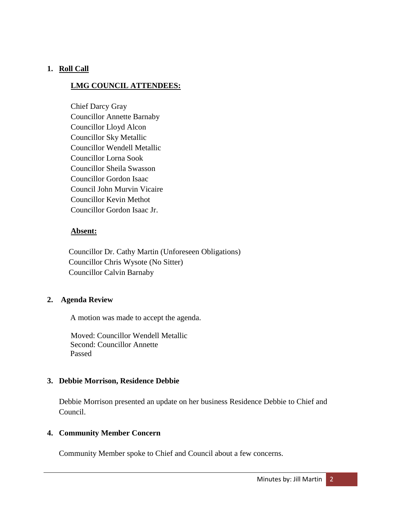# **1. Roll Call**

# **LMG COUNCIL ATTENDEES:**

Chief Darcy Gray Councillor Annette Barnaby Councillor Lloyd Alcon Councillor Sky Metallic Councillor Wendell Metallic Councillor Lorna Sook Councillor Sheila Swasson Councillor Gordon Isaac Council John Murvin Vicaire Councillor Kevin Methot Councillor Gordon Isaac Jr.

## **Absent:**

 Councillor Dr. Cathy Martin (Unforeseen Obligations) Councillor Chris Wysote (No Sitter) Councillor Calvin Barnaby

# **2. Agenda Review**

A motion was made to accept the agenda.

Moved: Councillor Wendell Metallic Second: Councillor Annette Passed

# **3. Debbie Morrison, Residence Debbie**

Debbie Morrison presented an update on her business Residence Debbie to Chief and Council.

## **4. Community Member Concern**

Community Member spoke to Chief and Council about a few concerns.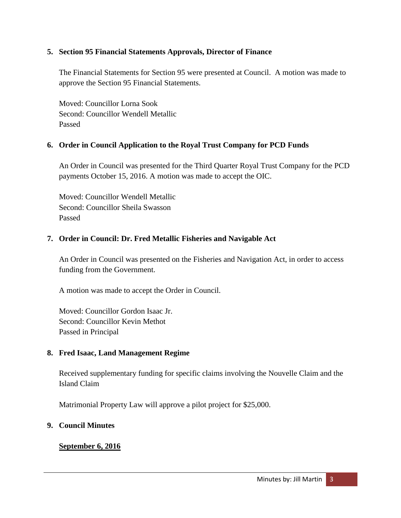## **5. Section 95 Financial Statements Approvals, Director of Finance**

The Financial Statements for Section 95 were presented at Council. A motion was made to approve the Section 95 Financial Statements.

Moved: Councillor Lorna Sook Second: Councillor Wendell Metallic Passed

# **6. Order in Council Application to the Royal Trust Company for PCD Funds**

An Order in Council was presented for the Third Quarter Royal Trust Company for the PCD payments October 15, 2016. A motion was made to accept the OIC.

Moved: Councillor Wendell Metallic Second: Councillor Sheila Swasson Passed

# **7. Order in Council: Dr. Fred Metallic Fisheries and Navigable Act**

An Order in Council was presented on the Fisheries and Navigation Act, in order to access funding from the Government.

A motion was made to accept the Order in Council.

Moved: Councillor Gordon Isaac Jr. Second: Councillor Kevin Methot Passed in Principal

# **8. Fred Isaac, Land Management Regime**

Received supplementary funding for specific claims involving the Nouvelle Claim and the Island Claim

Matrimonial Property Law will approve a pilot project for \$25,000.

# **9. Council Minutes**

# **September 6, 2016**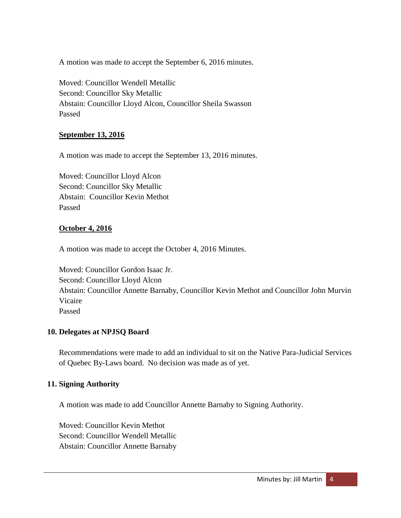A motion was made to accept the September 6, 2016 minutes.

Moved: Councillor Wendell Metallic Second: Councillor Sky Metallic Abstain: Councillor Lloyd Alcon, Councillor Sheila Swasson Passed

## **September 13, 2016**

A motion was made to accept the September 13, 2016 minutes.

Moved: Councillor Lloyd Alcon Second: Councillor Sky Metallic Abstain: Councillor Kevin Methot Passed

## **October 4, 2016**

A motion was made to accept the October 4, 2016 Minutes.

Moved: Councillor Gordon Isaac Jr. Second: Councillor Lloyd Alcon Abstain: Councillor Annette Barnaby, Councillor Kevin Methot and Councillor John Murvin Vicaire Passed

#### **10. Delegates at NPJSQ Board**

Recommendations were made to add an individual to sit on the Native Para-Judicial Services of Quebec By-Laws board. No decision was made as of yet.

#### **11. Signing Authority**

A motion was made to add Councillor Annette Barnaby to Signing Authority.

Moved: Councillor Kevin Methot Second: Councillor Wendell Metallic Abstain: Councillor Annette Barnaby